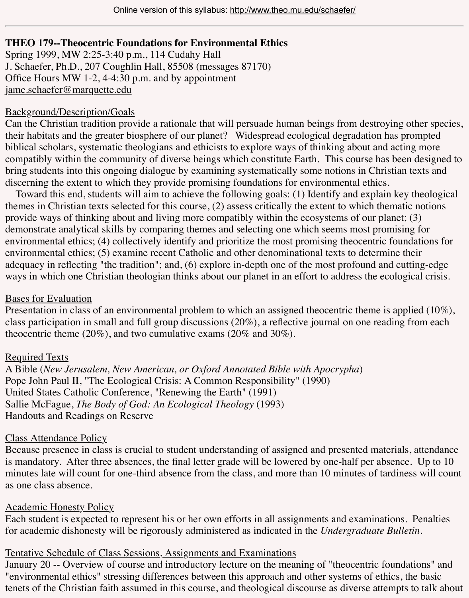#### $\overline{1}$  and by and by and by and by and by and by and by and by approximate  $\overline{1}$ jame.schaefer@marquette.edu

#### Background/Description/Goals

Can the Christian tradition provide a rationale that will persuade human beings from destroying their habitats and the greater biosphere of our planet? Widespread ecological degradation has biblical scholars, systematic theologians and ethicists to explore ways of thinking about and actio compatibly within the community of diverse beings which constitute Earth. This course has be [bring students into this ongoin](mailto:jame.schaefer@marquette.edu)g dialogue by examining systematically some notions in Christian discerning the extent to which they provide promising foundations for environmental ethics.

Toward this end, students will aim to achieve the following goals: (1) Identify and explain k themes in Christian texts selected for this course,  $(2)$  assess critically the extent to which them provide ways of thinking about and living more compatibly within the ecosystems of our plane demonstrate analytical skills by comparing themes and selecting one which seems most promi environmental ethics; (4) collectively identify and prioritize the most promising theocentric fo environmental ethics; (5) examine recent Catholic and other denominational texts to determine adequacy in reflecting "the tradition"; and, (6) explore in-depth one of the most profound and cutways in which one Christian theologian thinks about our planet in an effort to address the ecologie

#### Bases for Evaluation

Presentation in class of an environmental problem to which an assigned theocentric theme is a class participation in small and full group discussions  $(20\%)$ , a reflective journal on one reading theocentric theme (20%), and two cumulative exams (20% and 30%).

# Required Texts

A Bible (*New Jerusalem, New American, or Oxford Annotated Bible with Apocrypha*) Pope John Paul II, "The Ecological Crisis: A Common Responsibility" (1990) United States Catholic Conference, "Renewing the Earth" (1991) Sallie McFague, *The Body of God: An Ecological Theology* (1993) Handouts and Readings on Reserve

# Class Attendance Policy

Because presence in class is crucial to student understanding of assigned and presented materials, at the statendance materials, and  $\alpha$ is mandatory. After three absences, the final letter grade will be lowered by one-half per abser minutes late will count for one-third absence from the class, and more than 10 minutes of tardings will count for one-third absence from the class, and more than 10 minutes of tarding as one class absence.

# Academic Honesty Policy

Each student is expected to represent his or her own efforts in all assignments and examination for academic dishonesty will be rigorously administered as indicated in the *Undergraduate Bu* 

# Tentative Schedule of Class Sessions, Assignments and Examinations

January 20 -- Overview of course and introductory lecture on the meaning of "theocentric four "environmental ethics" stressing differences between this approach and other systems of ethics tenets of the Christian faith assumed in this course, and theological discourse as diverse attempt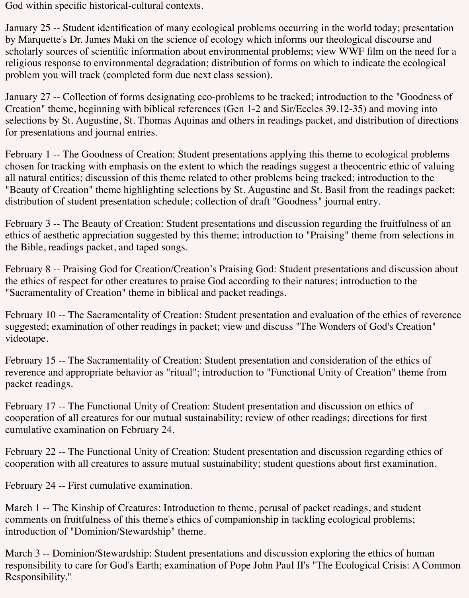God within specific historical-cultural contexts.

January 25 -- Student identification of many ecological problems occurring in the world today; presentation by Marquette's Dr. James Maki on the science of ecology which informs our theological discourse and scholarly sources of scientific information about environmental problems; view WWF film on the need for a religious response to environmental degradation; distribution of forms on which to indicate the ecological problem you will track (completed form due next class session).

January 27 -- Collection of forms designating eco-problems to be tracked; introduction to the "Goodness of Creation" theme, beginning with biblical references (Gen 1-2 and Sir/Eccles 39.12-35) and moving into selections by St. Augustine, St. Thomas Aquinas and others in readings packet, and distribution of directions for presentations and journal entries.

February 1 -- The Goodness of Creation: Student presentations applying this theme to ecological problems chosen for tracking with emphasis on the extent to which the readings suggest a theocentric ethic of valuing all natural entities; discussion of this theme related to other problems being tracked; introduction to the "Beauty of Creation" theme highlighting selections by St. Augustine and St. Basil from the readings packet; distribution of student presentation schedule; collection of draft "Goodness" journal entry.

February 3 -- The Beauty of Creation: Student presentations and discussion regarding the fruitfulness of an ethics of aesthetic appreciation suggested by this theme; introduction to "Praising" theme from selections in the Bible, readings packet, and taped songs.

February 8 -- Praising God for Creation/Creation's Praising God: Student presentations and discussion about the ethics of respect for other creatures to praise God according to their natures; introduction to the "Sacramentality of Creation" theme in biblical and packet readings.

February 10 -- The Sacramentality of Creation: Student presentation and evaluation of the ethics of reverence suggested; examination of other readings in packet; view and discuss "The Wonders of God's Creation" videotape.

February 15 -- The Sacramentality of Creation: Student presentation and consideration of the ethics of reverence and appropriate behavior as "ritual"; introduction to "Functional Unity of Creation" theme from packet readings.

February 17 -- The Functional Unity of Creation: Student presentation and discussion on ethics of cooperation of all creatures for our mutual sustainability; review of other readings; directions for first cumulative examination on February 24.

February 22 -- The Functional Unity of Creation: Student presentation and discussion regarding ethics of cooperation with all creatures to assure mutual sustainability; student questions about first examination.

February 24 -- First cumulative examination.

March 1 -- The Kinship of Creatures: Introduction to theme, perusal of packet readings, and student comments on fruitfulness of this theme's ethics of companionship in tackling ecological problems; introduction of "Dominion/Stewardship" theme.

March 3 -- Dominion/Stewardship: Student presentations and discussion exploring the ethics of human responsibility to care for God's Earth; examination of Pope John Paul II's "The Ecological Crisis: A Common Responsibility."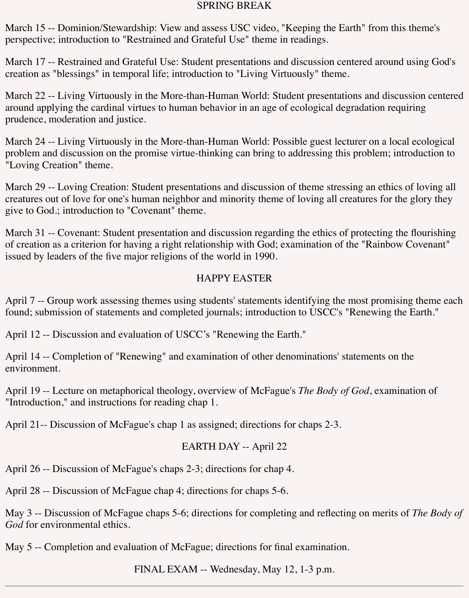#### SPRING BREAK

March 15 -- Dominion/Stewardship: View and assess USC video, "Keeping the Earth" from this theme's perspective; introduction to "Restrained and Grateful Use" theme in readings.

March 17 -- Restrained and Grateful Use: Student presentations and discussion centered around using God's creation as "blessings" in temporal life; introduction to "Living Virtuously" theme.

March 22 -- Living Virtuously in the More-than-Human World: Student presentations and discussion centered around applying the cardinal virtues to human behavior in an age of ecological degradation requiring prudence, moderation and justice.

March 24 -- Living Virtuously in the More-than-Human World: Possible guest lecturer on a local ecological problem and discussion on the promise virtue-thinking can bring to addressing this problem; introduction to "Loving Creation" theme.

March 29 -- Loving Creation: Student presentations and discussion of theme stressing an ethics of loving all creatures out of love for one's human neighbor and minority theme of loving all creatures for the glory they give to God.; introduction to "Covenant" theme.

March 31 -- Covenant: Student presentation and discussion regarding the ethics of protecting the flourishing of creation as a criterion for having a right relationship with God; examination of the "Rainbow Covenant" issued by leaders of the five major religions of the world in 1990.

### HAPPY EASTER

April 7 -- Group work assessing themes using students' statements identifying the most promising theme each found; submission of statements and completed journals; introduction to USCC's "Renewing the Earth."

April 12 -- Discussion and evaluation of USCC's "Renewing the Earth."

April 14 -- Completion of "Renewing" and examination of other denominations' statements on the environment.

April 19 -- Lecture on metaphorical theology, overview of McFague's *The Body of God*, examination of "Introduction," and instructions for reading chap 1.

April 21-- Discussion of McFague's chap 1 as assigned; directions for chaps 2-3.

#### EARTH DAY -- April 22

April 26 -- Discussion of McFague's chaps 2-3; directions for chap 4.

April 28 -- Discussion of McFague chap 4; directions for chaps 5-6.

May 3 -- Discussion of McFague chaps 5-6; directions for completing and reflecting on merits of *The Body of God* for environmental ethics.

May 5 -- Completion and evaluation of McFague; directions for final examination.

FINAL EXAM -- Wednesday, May 12, 1-3 p.m.